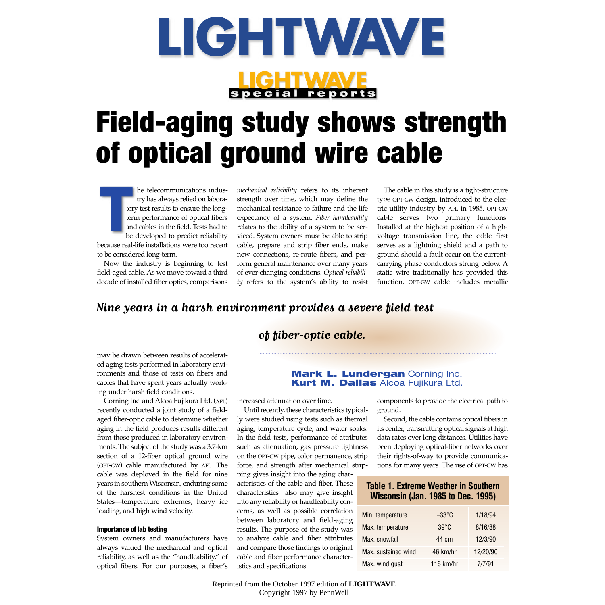

# special reports

# **Field-aging study shows strength of optical ground wire cable**

he telecommunications industry has always relied on laboratory test results to ensure the longterm performance of optical fibers and cables in the field. Tests had to be developed to predict reliability because real-life installations were too recent to be considered long-term. **T**<br>
term<br>
because real-<br>
because real-

Now the industry is beginning to test field-aged cable. As we move toward a third decade of installed fiber optics, comparisons

*mechanical reliability* refers to its inherent strength over time, which may define the mechanical resistance to failure and the life expectancy of a system. *Fiber handleability* relates to the ability of a system to be serviced. System owners must be able to strip cable, prepare and strip fiber ends, make new connections, re-route fibers, and perform general maintenance over many years of ever-changing conditions. *Optical reliability* refers to the system's ability to resist

The cable in this study is a tight-structure type OPT-GW design, introduced to the electric utility industry by AFL in 1985. OPT-GW cable serves two primary functions. Installed at the highest position of a highvoltage transmission line, the cable first serves as a lightning shield and a path to ground should a fault occur on the currentcarrying phase conductors strung below. A static wire traditionally has provided this function. OPT-GW cable includes metallic

### **Nine years in a harsh environment provides a severe field test**

### **of fiber-optic cable.**

may be drawn between results of accelerated aging tests performed in laboratory environments and those of tests on fibers and cables that have spent years actually working under harsh field conditions.

Corning Inc. and Alcoa Fujikura Ltd. (AFL) recently conducted a joint study of a fieldaged fiber-optic cable to determine whether aging in the field produces results different from those produced in laboratory environments. The subject of the study was a 3.7-km section of a 12-fiber optical ground wire (OPT-GW) cable manufactured by AFL. The cable was deployed in the field for nine years in southern Wisconsin, enduring some of the harshest conditions in the United States—temperature extremes, heavy ice loading, and high wind velocity.

#### **Importance of lab testing**

System owners and manufacturers have always valued the mechanical and optical reliability, as well as the "handleability," of optical fibers. For our purposes, a fiber's

#### **Mark L. Lundergan Corning Inc. Kurt M. Dallas Alcoa Fujikura Ltd.**

increased attenuation over time.

Until recently, these characteristics typically were studied using tests such as thermal aging, temperature cycle, and water soaks. In the field tests, performance of attributes such as attenuation, gas pressure tightness on the OPT-GW pipe, color permanence, strip force, and strength after mechanical strip-

ping gives insight into the aging characteristics of the cable and fiber. These characteristics also may give insight into any reliability or handleability concerns, as well as possible correlation between laboratory and field-aging results. The purpose of the study was to analyze cable and fiber attributes and compare those findings to original cable and fiber performance characteristics and specifications.

components to provide the electrical path to ground.

Second, the cable contains optical fibers in its center, transmitting optical signals at high data rates over long distances. Utilities have been deploying optical-fiber networks over their rights-of-way to provide communications for many years. The use of OPT-GW has

## Min. temperature −33°C 1/18/94 **Table 1. Extreme Weather in Southern Wisconsin (Jan. 1985 to Dec. 1995)**

| Min. temperature    | –33°C          | 1/18/94  |
|---------------------|----------------|----------|
| Max. temperature    | $39^{\circ}$ C | 8/16/88  |
| Max. snowfall       | 44 cm          | 12/3/90  |
| Max, sustained wind | 46 km/hr       | 12/20/90 |
| Max. wind gust      | 116 $km/hr$    | 7/7/91   |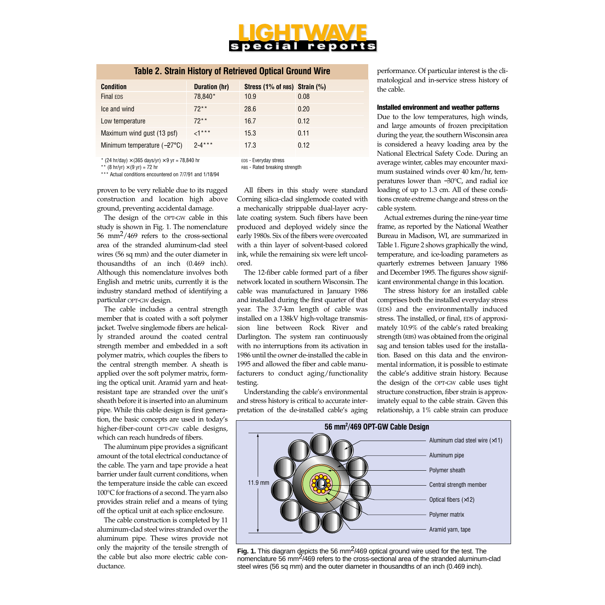# pecial repor

#### **Table 2. Strain History of Retrieved Optical Ground Wire**

| <b>Condition</b>                     | Duration (hr) | Stress $(1\%$ of RBS) Strain $(\%)$ |      |
|--------------------------------------|---------------|-------------------------------------|------|
| <b>Final EDS</b>                     | 78.840*       | 10.9                                | 0.08 |
| Ice and wind                         | $72**$        | 28.6                                | 0.20 |
| Low temperature                      | $72**$        | 16.7                                | 0.12 |
| Maximum wind gust (13 psf)           | $\leq 1***$   | 15.3                                | 0.11 |
| Minimum temperature $(-27^{\circ}C)$ | $2 - 4***$    | 17.3                                | 0.12 |

\* (24 hr/day)  $\times$  (365 days/yr)  $\times$  9 yr = 78,840 hr

\*\* (8 hr/yr)  $\times$  (9 yr) = 72 hr

\*\*\* Actual conditions encountered on 7/7/91 and 1/18/94

proven to be very reliable due to its rugged construction and location high above ground, preventing accidental damage.

The design of the OPT-GW cable in this study is shown in Fig. 1. The nomenclature  $56$  mm<sup>2</sup>/469 refers to the cross-sectional area of the stranded aluminum-clad steel wires (56 sq mm) and the outer diameter in thousandths of an inch (0.469 inch). Although this nomenclature involves both English and metric units, currently it is the industry standard method of identifying a particular OPT-GW design.

The cable includes a central strength member that is coated with a soft polymer jacket. Twelve singlemode fibers are helically stranded around the coated central strength member and embedded in a soft polymer matrix, which couples the fibers to the central strength member. A sheath is applied over the soft polymer matrix, forming the optical unit. Aramid yarn and heatresistant tape are stranded over the unit's sheath before it is inserted into an aluminum pipe. While this cable design is first generation, the basic concepts are used in today's higher-fiber-count OPT-GW cable designs, which can reach hundreds of fibers.

The aluminum pipe provides a significant amount of the total electrical conductance of the cable. The yarn and tape provide a heat barrier under fault current conditions, when the temperature inside the cable can exceed 100°C for fractions of a second. The yarn also provides strain relief and a means of tying off the optical unit at each splice enclosure.

The cable construction is completed by 11 aluminum-clad steel wires stranded over the aluminum pipe. These wires provide not only the majority of the tensile strength of the cable but also more electric cable conductance.

EDS - Everyday stress

RBS - Rated breaking strength

All fibers in this study were standard Corning silica-clad singlemode coated with a mechanically strippable dual-layer acrylate coating system. Such fibers have been produced and deployed widely since the early 1980s. Six of the fibers were overcoated with a thin layer of solvent-based colored ink, while the remaining six were left uncolored.

The 12-fiber cable formed part of a fiber network located in southern Wisconsin. The cable was manufactured in January 1986 and installed during the first quarter of that year. The 3.7-km length of cable was installed on a 138kV high-voltage transmission line between Rock River and Darlington. The system ran continuously with no interruptions from its activation in 1986 until the owner de-installed the cable in 1995 and allowed the fiber and cable manufacturers to conduct aging/functionality testing.

Understanding the cable's environmental and stress history is critical to accurate interpretation of the de-installed cable's aging

performance. Of particular interest is the climatological and in-service stress history of the cable.

#### **Installed environment and weather patterns**

Due to the low temperatures, high winds, and large amounts of frozen precipitation during the year, the southern Wisconsin area is considered a heavy loading area by the National Electrical Safety Code. During an average winter, cables may encounter maximum sustained winds over 40 km/hr, temperatures lower than −30°C, and radial ice loading of up to 1.3 cm. All of these conditions create extreme change and stress on the cable system.

Actual extremes during the nine-year time frame, as reported by the National Weather Bureau in Madison, WI, are summarized in Table 1. Figure 2 shows graphically the wind, temperature, and ice-loading parameters as quarterly extremes between January 1986 and December 1995. The figures show significant environmental change in this location.

The stress history for an installed cable comprises both the installed everyday stress (EDS) and the environmentally induced stress. The installed, or final, EDS of approximately 10.9% of the cable's rated breaking strength (RBS) was obtained from the original sag and tension tables used for the installation. Based on this data and the environmental information, it is possible to estimate the cable's additive strain history. Because the design of the OPT-GW cable uses tight structure construction, fiber strain is approximately equal to the cable strain. Given this relationship, a 1% cable strain can produce



**Fig. 1.** This diagram depicts the 56 mm<sup>2</sup>/469 optical ground wire used for the test. The nomenclature 56 mm<sup>2</sup>/469 refers to the cross-sectional area of the stranded aluminum-clad steel wires (56 sq mm) and the outer diameter in thousandths of an inch (0.469 inch).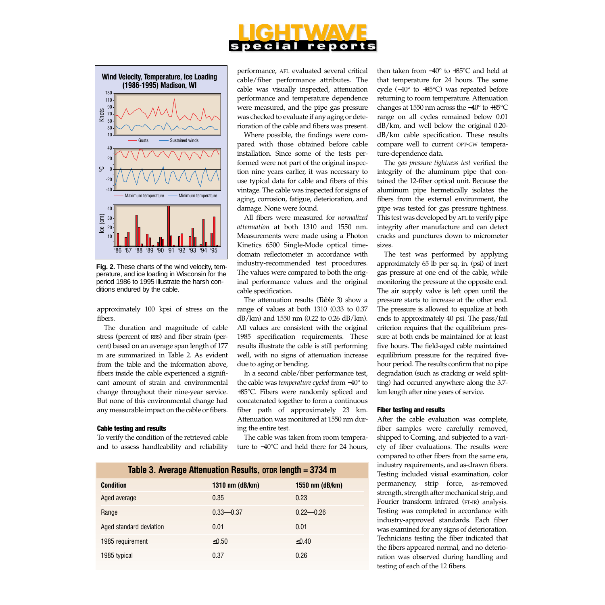#### peci al r e por



**Fig. 2.** These charts of the wind velocity, temperature, and ice loading in Wisconsin for the period 1986 to 1995 illustrate the harsh conditions endured by the cable.

approximately 100 kpsi of stress on the fibers.

The duration and magnitude of cable stress (percent of RBS) and fiber strain (percent) based on an average span length of 177 m are summarized in Table 2. As evident from the table and the information above, fibers inside the cable experienced a significant amount of strain and environmental change throughout their nine-year service. But none of this environmental change had any measurable impact on the cable or fibers.

#### **Cable testing and results**

To verify the condition of the retrieved cable and to assess handleability and reliability performance, AFL evaluated several critical cable/fiber performance attributes. The cable was visually inspected, attenuation performance and temperature dependence were measured, and the pipe gas pressure was checked to evaluate if any aging or deterioration of the cable and fibers was present.

Where possible, the findings were compared with those obtained before cable installation. Since some of the tests performed were not part of the original inspection nine years earlier, it was necessary to use typical data for cable and fibers of this vintage. The cable was inspected for signs of aging, corrosion, fatigue, deterioration, and damage. None were found.

All fibers were measured for *normalized attenuation* at both 1310 and 1550 nm. Measurements were made using a Photon Kinetics 6500 Single-Mode optical timedomain reflectometer in accordance with industry-recommended test procedures. The values were compared to both the original performance values and the original cable specification.

The attenuation results (Table 3) show a range of values at both 1310 (0.33 to 0.37 dB/km) and 1550 nm (0.22 to 0.26 dB/km). All values are consistent with the original 1985 specification requirements. These results illustrate the cable is still performing well, with no signs of attenuation increase due to aging or bending.

In a second cable/fiber performance test, the cable was *temperature cycled* from −40° to +85°C. Fibers were randomly spliced and concatenated together to form a continuous fiber path of approximately 23 km. Attenuation was monitored at 1550 nm during the entire test.

The cable was taken from room temperature to −40°C and held there for 24 hours,

| Table 3. Average Attenuation Results, orp Hength = 3734 m |                   |                 |  |
|-----------------------------------------------------------|-------------------|-----------------|--|
| <b>Condition</b>                                          | 1310 nm $(dB/km)$ | 1550 nm (dB/km) |  |
| Aged average                                              | 0.35              | 0.23            |  |
| Range                                                     | $0.33 - 0.37$     | $0.22 - 0.26$   |  |
| Aged standard deviation                                   | 0.01              | 0.01            |  |
| 1985 requirement                                          | $\leq 0.50$       | ≤0.40           |  |
| 1985 typical                                              | 0.37              | 0.26            |  |

then taken from −40° to +85°C and held at that temperature for 24 hours. The same cycle (−40° to +85°C) was repeated before returning to room temperature. Attenuation changes at 1550 nm across the −40° to +85°C range on all cycles remained below 0.01 dB/km, and well below the original 0.20 dB/km cable specification. These results compare well to current OPT-GW temperature-dependence data.

The *gas pressure tightness test* verified the integrity of the aluminum pipe that contained the 12-fiber optical unit. Because the aluminum pipe hermetically isolates the fibers from the external environment, the pipe was tested for gas pressure tightness. This test was developed by AFL to verify pipe integrity after manufacture and can detect cracks and punctures down to micrometer sizes.

The test was performed by applying approximately 65 lb per sq. in. (psi) of inert gas pressure at one end of the cable, while monitoring the pressure at the opposite end. The air supply valve is left open until the pressure starts to increase at the other end. The pressure is allowed to equalize at both ends to approximately 40 psi. The pass/fail criterion requires that the equilibrium pressure at both ends be maintained for at least five hours. The field-aged cable maintained equilibrium pressure for the required fivehour period. The results confirm that no pipe degradation (such as cracking or weld splitting) had occurred anywhere along the 3.7 km length after nine years of service.

#### **Fiber testing and results**

After the cable evaluation was complete, fiber samples were carefully removed, shipped to Corning, and subjected to a variety of fiber evaluations. The results were compared to other fibers from the same era, industry requirements, and as-drawn fibers. Testing included visual examination, color permanency, strip force, as-removed strength, strength after mechanical strip, and Fourier transform infrared (FT-IR) analysis. Testing was completed in accordance with industry-approved standards. Each fiber was examined for any signs of deterioration. Technicians testing the fiber indicated that the fibers appeared normal, and no deterioration was observed during handling and testing of each of the 12 fibers.